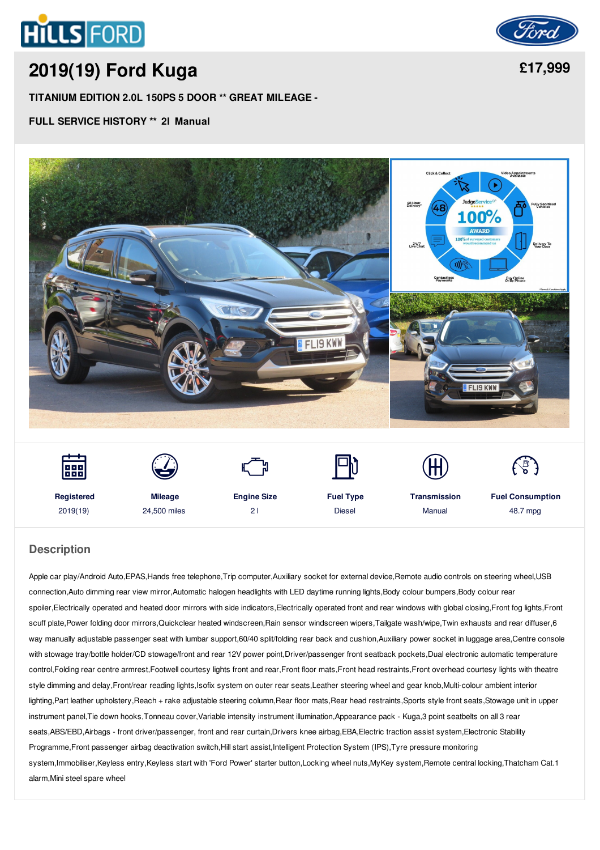



**[£17,999](/used-cars/pdf/)**

# **[2019\(19\)](/used-cars/pdf/) Ford Kuga**

**TITANIUM EDITION 2.0L 150PS 5 DOOR \*\* GREAT MILEAGE -**

**FULL SERVICE HISTORY \*\* 2l Manual**



#### **Description**

Apple car play/Android Auto,EPAS,Hands free telephone,Trip computer,Auxiliary socket for external device,Remote audio controls on steering wheel,USB connection,Auto dimming rear view mirror,Automatic halogen headlights with LED daytime running lights,Body colour bumpers,Body colour rear spoiler,Electrically operated and heated door mirrors with side indicators,Electrically operated front and rear windows with global closing,Front fog lights,Front scuff plate,Power folding door mirrors,Quickclear heated windscreen,Rain sensor windscreen wipers,Tailgate wash/wipe,Twin exhausts and rear diffuser,6 way manually adjustable passenger seat with lumbar support,60/40 split/folding rear back and cushion,Auxiliary power socket in luggage area,Centre console with stowage tray/bottle holder/CD stowage/front and rear 12V power point,Driver/passenger front seatback pockets,Dual electronic automatic temperature control,Folding rear centre armrest,Footwell courtesy lights front and rear,Front floor mats,Front head restraints,Front overhead courtesy lights with theatre style dimming and delay,Front/rear reading lights,Isofix system on outer rear seats,Leather steering wheel and gear knob,Multi-colour ambient interior lighting,Part leather upholstery,Reach + rake adjustable steering column,Rear floor mats,Rear head restraints,Sports style front seats,Stowage unit in upper instrument panel,Tie down hooks,Tonneau cover,Variable intensity instrument illumination,Appearance pack - Kuga,3 point seatbelts on all 3 rear seats,ABS/EBD,Airbags - front driver/passenger, front and rear curtain,Drivers knee airbag,EBA,Electric traction assist system,Electronic Stability Programme,Front passenger airbag deactivation switch,Hill start assist,Intelligent Protection System (IPS),Tyre pressure monitoring system,Immobiliser,Keyless entry,Keyless start with 'Ford Power' starter button,Locking wheel nuts,MyKey system,Remote central locking,Thatcham Cat.1 alarm,Mini steel spare wheel